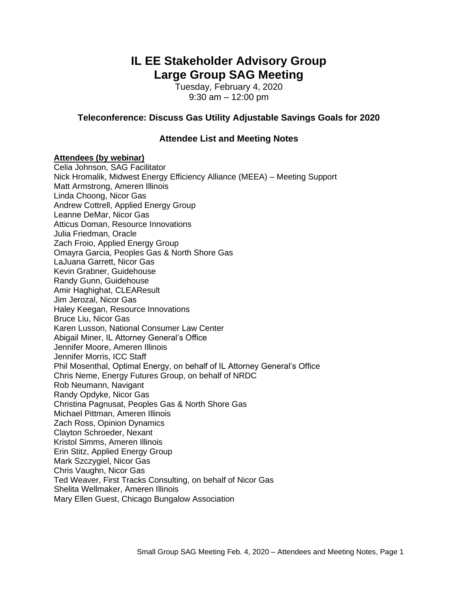# **IL EE Stakeholder Advisory Group Large Group SAG Meeting**

Tuesday, February 4, 2020 9:30 am – 12:00 pm

## **Teleconference: Discuss Gas Utility Adjustable Savings Goals for 2020**

## **Attendee List and Meeting Notes**

#### **Attendees (by webinar)**

Celia Johnson, SAG Facilitator Nick Hromalik, Midwest Energy Efficiency Alliance (MEEA) – Meeting Support Matt Armstrong, Ameren Illinois Linda Choong, Nicor Gas Andrew Cottrell, Applied Energy Group Leanne DeMar, Nicor Gas Atticus Doman, Resource Innovations Julia Friedman, Oracle Zach Froio, Applied Energy Group Omayra Garcia, Peoples Gas & North Shore Gas LaJuana Garrett, Nicor Gas Kevin Grabner, Guidehouse Randy Gunn, Guidehouse Amir Haghighat, CLEAResult Jim Jerozal, Nicor Gas Haley Keegan, Resource Innovations Bruce Liu, Nicor Gas Karen Lusson, National Consumer Law Center Abigail Miner, IL Attorney General's Office Jennifer Moore, Ameren Illinois Jennifer Morris, ICC Staff Phil Mosenthal, Optimal Energy, on behalf of IL Attorney General's Office Chris Neme, Energy Futures Group, on behalf of NRDC Rob Neumann, Navigant Randy Opdyke, Nicor Gas Christina Pagnusat, Peoples Gas & North Shore Gas Michael Pittman, Ameren Illinois Zach Ross, Opinion Dynamics Clayton Schroeder, Nexant Kristol Simms, Ameren Illinois Erin Stitz, Applied Energy Group Mark Szczygiel, Nicor Gas Chris Vaughn, Nicor Gas Ted Weaver, First Tracks Consulting, on behalf of Nicor Gas Shelita Wellmaker, Ameren Illinois Mary Ellen Guest, Chicago Bungalow Association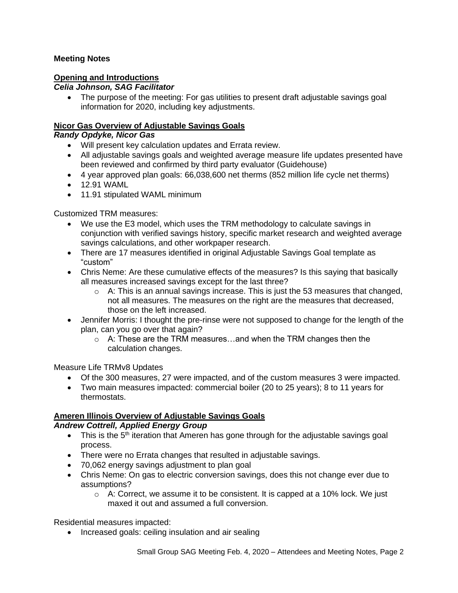# **Meeting Notes**

## **Opening and Introductions**

### *Celia Johnson, SAG Facilitator*

• The purpose of the meeting: For gas utilities to present draft adjustable savings goal information for 2020, including key adjustments.

# **Nicor Gas Overview of Adjustable Savings Goals**

## *Randy Opdyke, Nicor Gas*

- Will present key calculation updates and Errata review.
- All adjustable savings goals and weighted average measure life updates presented have been reviewed and confirmed by third party evaluator (Guidehouse)
- 4 year approved plan goals: 66,038,600 net therms (852 million life cycle net therms)
- 12.91 WAML
- 11.91 stipulated WAML minimum

Customized TRM measures:

- We use the E3 model, which uses the TRM methodology to calculate savings in conjunction with verified savings history, specific market research and weighted average savings calculations, and other workpaper research.
- There are 17 measures identified in original Adjustable Savings Goal template as "custom"
- Chris Neme: Are these cumulative effects of the measures? Is this saying that basically all measures increased savings except for the last three?
	- $\circ$  A: This is an annual savings increase. This is just the 53 measures that changed, not all measures. The measures on the right are the measures that decreased, those on the left increased.
- Jennifer Morris: I thought the pre-rinse were not supposed to change for the length of the plan, can you go over that again?
	- $\circ$  A: These are the TRM measures... and when the TRM changes then the calculation changes.

Measure Life TRMv8 Updates

- Of the 300 measures, 27 were impacted, and of the custom measures 3 were impacted.
- Two main measures impacted: commercial boiler (20 to 25 years); 8 to 11 years for thermostats.

# **Ameren Illinois Overview of Adjustable Savings Goals**

### *Andrew Cottrell, Applied Energy Group*

- This is the 5<sup>th</sup> iteration that Ameren has gone through for the adjustable savings goal process.
- There were no Errata changes that resulted in adjustable savings.
- 70,062 energy savings adjustment to plan goal
- Chris Neme: On gas to electric conversion savings, does this not change ever due to assumptions?
	- $\circ$  A: Correct, we assume it to be consistent. It is capped at a 10% lock. We just maxed it out and assumed a full conversion.

Residential measures impacted:

• Increased goals: ceiling insulation and air sealing